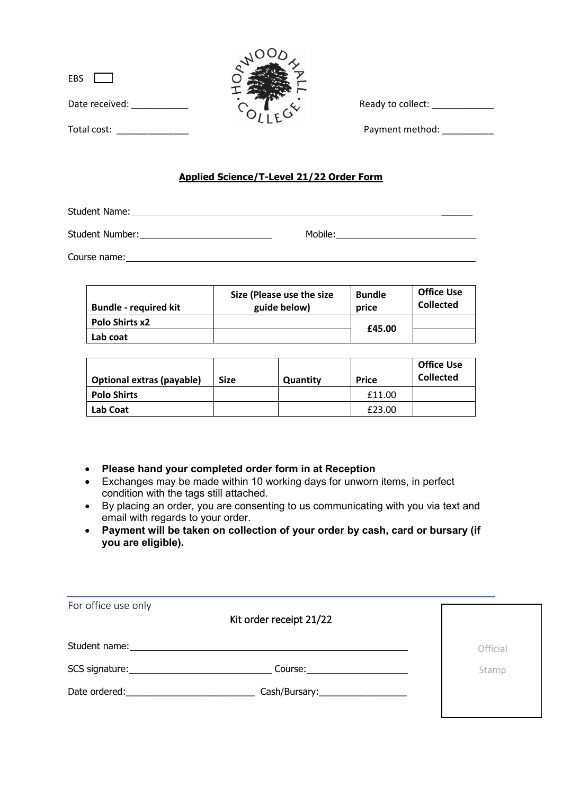| EBS L          |  |
|----------------|--|
| Date received: |  |
| Total cost:    |  |



Ready to collect: \_\_\_\_\_\_\_\_\_\_\_\_\_\_

Payment method:

## **Applied Science/T-Level 21/22 Order Form**

Student Name:

Student Number: Nobile: Mobile: Mobile: Mobile: Mobile: Mobile: Mobile: Mobile: Number: Nobile: Number: Number: Number: Number: Number: Number: Number: Number: Number: Number: Number: Number: Number: Number: Number: Number

Course name:

| <b>Bundle - required kit</b> | Size (Please use the size<br>guide below) | <b>Bundle</b><br>price | <b>Office Use</b><br><b>Collected</b> |
|------------------------------|-------------------------------------------|------------------------|---------------------------------------|
| <b>Polo Shirts x2</b>        |                                           |                        |                                       |
| Lab coat                     |                                           | £45.00                 |                                       |

| <b>Optional extras (payable)</b> | <b>Size</b> | Quantity | <b>Price</b> | <b>Office Use</b><br><b>Collected</b> |
|----------------------------------|-------------|----------|--------------|---------------------------------------|
| <b>Polo Shirts</b>               |             |          | £11.00       |                                       |
| <b>Lab Coat</b>                  |             |          | £23.00       |                                       |

- **Please hand your completed order form in at Reception**
- Exchanges may be made within 10 working days for unworn items, in perfect condition with the tags still attached.
- By placing an order, you are consenting to us communicating with you via text and email with regards to your order.
- **Payment will be taken on collection of your order by cash, card or bursary (if you are eligible).**

| For office use only                                                                                                                                                                                                            | Kit order receipt 21/22         |          |
|--------------------------------------------------------------------------------------------------------------------------------------------------------------------------------------------------------------------------------|---------------------------------|----------|
| Student name:                                                                                                                                                                                                                  |                                 | Official |
| SCS signature: ________________                                                                                                                                                                                                | Course:________________         | Stamp    |
| Date ordered: and the state of the state of the state of the state of the state of the state of the state of the state of the state of the state of the state of the state of the state of the state of the state of the state | Cash/Bursary:__________________ |          |
|                                                                                                                                                                                                                                |                                 |          |